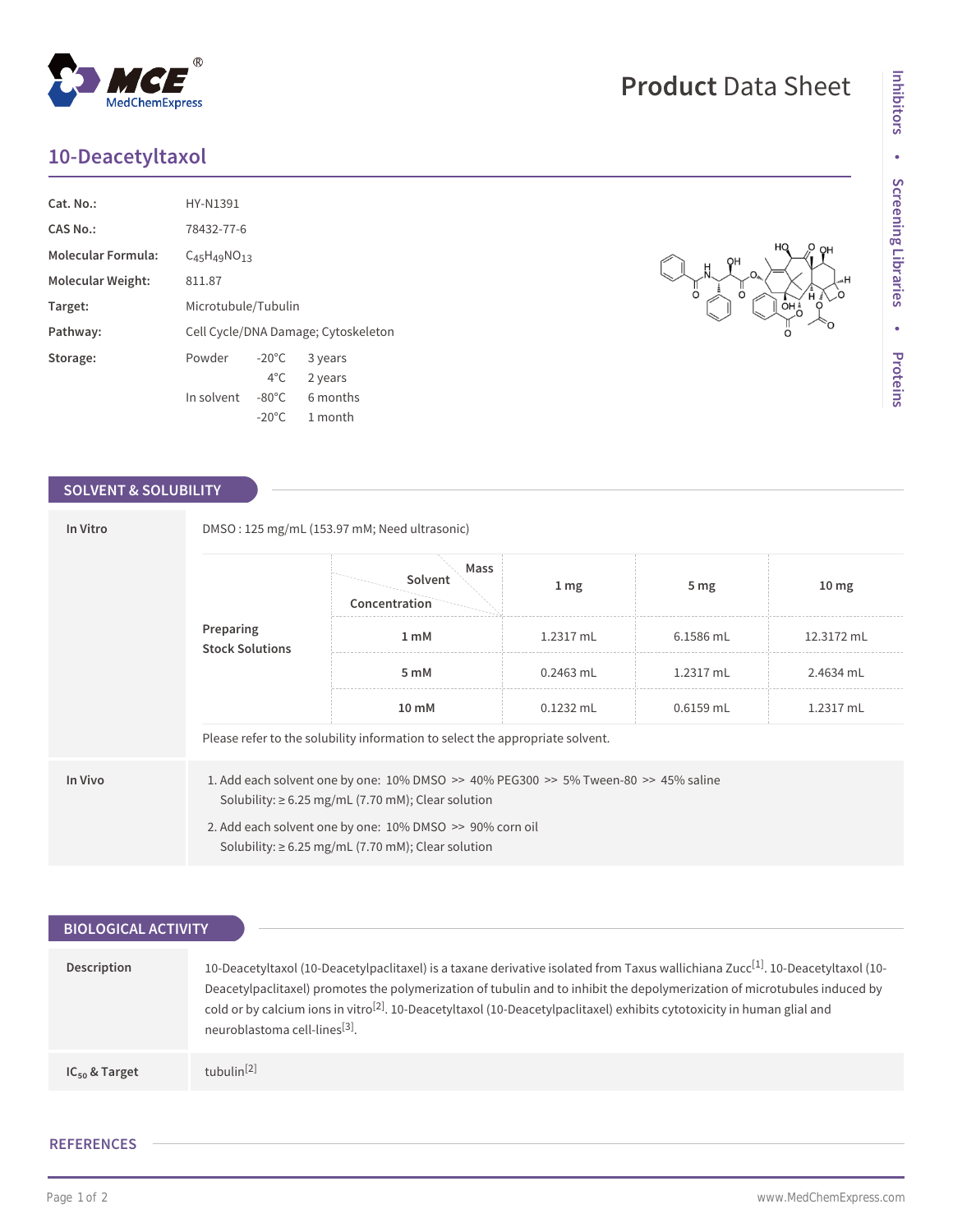## **10-Deacetyltaxol**

| Cat. No.:                 | HY-N1391                            |                 |          |  |  |
|---------------------------|-------------------------------------|-----------------|----------|--|--|
| <b>CAS No.:</b>           | 78432-77-6                          |                 |          |  |  |
| <b>Molecular Formula:</b> | $C_{45}H_{49}NO_{13}$               |                 |          |  |  |
| <b>Molecular Weight:</b>  | 811.87                              |                 |          |  |  |
| Target:                   | Microtubule/Tubulin                 |                 |          |  |  |
| Pathway:                  | Cell Cycle/DNA Damage; Cytoskeleton |                 |          |  |  |
| Storage:                  | Powder                              | $-20^{\circ}$ C | 3 years  |  |  |
|                           |                                     | $4^{\circ}$ C   | 2 years  |  |  |
|                           | In solvent                          | $-80^{\circ}$ C | 6 months |  |  |
|                           |                                     | $-20^{\circ}$ C | 1 month  |  |  |

## **SOLVENT & SOLUBILITY**

| In Vitro  | DMSO: 125 mg/mL (153.97 mM; Need ultrasonic)                                                                                                                  |                                  |                  |                 |                  |  |  |
|-----------|---------------------------------------------------------------------------------------------------------------------------------------------------------------|----------------------------------|------------------|-----------------|------------------|--|--|
| Preparing |                                                                                                                                                               | Mass<br>Solvent<br>Concentration | $1 \, \text{mg}$ | 5 <sub>mg</sub> | 10 <sub>mg</sub> |  |  |
|           | <b>Stock Solutions</b>                                                                                                                                        | 1 <sub>m</sub> M                 | 1.2317 mL        | 6.1586 mL       | 12.3172 mL       |  |  |
|           |                                                                                                                                                               | 5 mM                             | $0.2463$ mL      | 1.2317 mL       | 2.4634 mL        |  |  |
|           |                                                                                                                                                               | 10 mM                            | $0.1232$ mL      | $0.6159$ mL     | 1.2317 mL        |  |  |
|           | Please refer to the solubility information to select the appropriate solvent.                                                                                 |                                  |                  |                 |                  |  |  |
| In Vivo   | 1. Add each solvent one by one: $10\%$ DMSO $\geq$ 40% PEG300 $\geq$ 5% Tween-80 $\geq$ 45% saline<br>Solubility: $\geq 6.25$ mg/mL (7.70 mM); Clear solution |                                  |                  |                 |                  |  |  |
|           | 2. Add each solvent one by one: 10% DMSO >> 90% corn oil<br>Solubility: $\geq 6.25$ mg/mL (7.70 mM); Clear solution                                           |                                  |                  |                 |                  |  |  |

| <b>BIOLOGICAL ACTIVITY</b> |                                                                                                                                                                                                                                                                                                                                                                                                                                                              |  |  |  |  |
|----------------------------|--------------------------------------------------------------------------------------------------------------------------------------------------------------------------------------------------------------------------------------------------------------------------------------------------------------------------------------------------------------------------------------------------------------------------------------------------------------|--|--|--|--|
|                            |                                                                                                                                                                                                                                                                                                                                                                                                                                                              |  |  |  |  |
| Description                | 10-Deacetyltaxol (10-Deacetylpaclitaxel) is a taxane derivative isolated from Taxus wallichiana Zucc <sup>[1]</sup> . 10-Deacetyltaxol (10-<br>Deacetylpaclitaxel) promotes the polymerization of tubulin and to inhibit the depolymerization of microtubules induced by<br>cold or by calcium ions in vitro <sup>[2]</sup> . 10-Deacetyltaxol (10-Deacetylpaclitaxel) exhibits cytotoxicity in human glial and<br>neuroblastoma cell-lines <sup>[3]</sup> . |  |  |  |  |
| $IC_{50}$ & Target         | tubulin $[2]$                                                                                                                                                                                                                                                                                                                                                                                                                                                |  |  |  |  |

## **REFERENCES**